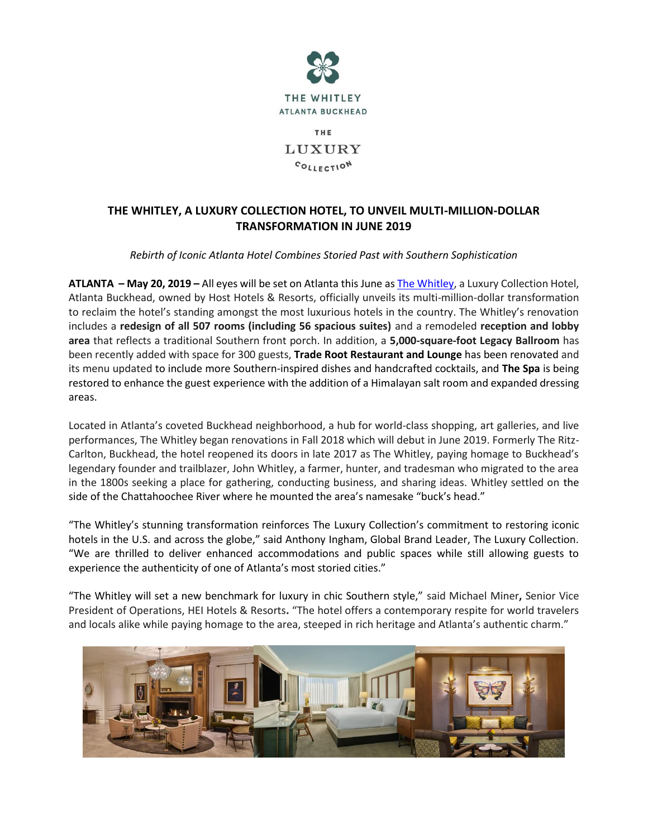

THE LUXURY COLLECTION

# **THE WHITLEY, A LUXURY COLLECTION HOTEL, TO UNVEIL MULTI-MILLION-DOLLAR TRANSFORMATION IN JUNE 2019**

## *Rebirth of Iconic Atlanta Hotel Combines Storied Past with Southern Sophistication*

**ATLANTA – May 20, 2019 –** All eyes will be set on Atlanta this June a[s The Whitley,](http://thewhitleyhotel.com/) a Luxury Collection Hotel, Atlanta Buckhead, owned by Host Hotels & Resorts, officially unveils its multi-million-dollar transformation to reclaim the hotel's standing amongst the most luxurious hotels in the country. The Whitley's renovation includes a **redesign of all 507 rooms (including 56 spacious suites)** and a remodeled **reception and lobby area** that reflects a traditional Southern front porch. In addition, a **5,000-square-foot Legacy Ballroom** has been recently added with space for 300 guests, **Trade Root Restaurant and Lounge** has been renovated and its menu updated to include more Southern-inspired dishes and handcrafted cocktails, and **The Spa** is being restored to enhance the guest experience with the addition of a Himalayan salt room and expanded dressing areas.

Located in Atlanta's coveted Buckhead neighborhood, a hub for world-class shopping, art galleries, and live performances, The Whitley began renovations in Fall 2018 which will debut in June 2019. Formerly The Ritz-Carlton, Buckhead, the hotel reopened its doors in late 2017 as The Whitley, paying homage to Buckhead's legendary founder and trailblazer, John Whitley, a farmer, hunter, and tradesman who migrated to the area in the 1800s seeking a place for gathering, conducting business, and sharing ideas. Whitley settled on the side of the Chattahoochee River where he mounted the area's namesake "buck's head."

"The Whitley's stunning transformation reinforces The Luxury Collection's commitment to restoring iconic hotels in the U.S. and across the globe," said Anthony Ingham, Global Brand Leader, The Luxury Collection. "We are thrilled to deliver enhanced accommodations and public spaces while still allowing guests to experience the authenticity of one of Atlanta's most storied cities."

"The Whitley will set a new benchmark for luxury in chic Southern style," said Michael Miner**,** Senior Vice President of Operations, HEI Hotels & Resorts**.** "The hotel offers a contemporary respite for world travelers and locals alike while paying homage to the area, steeped in rich heritage and Atlanta's authentic charm."

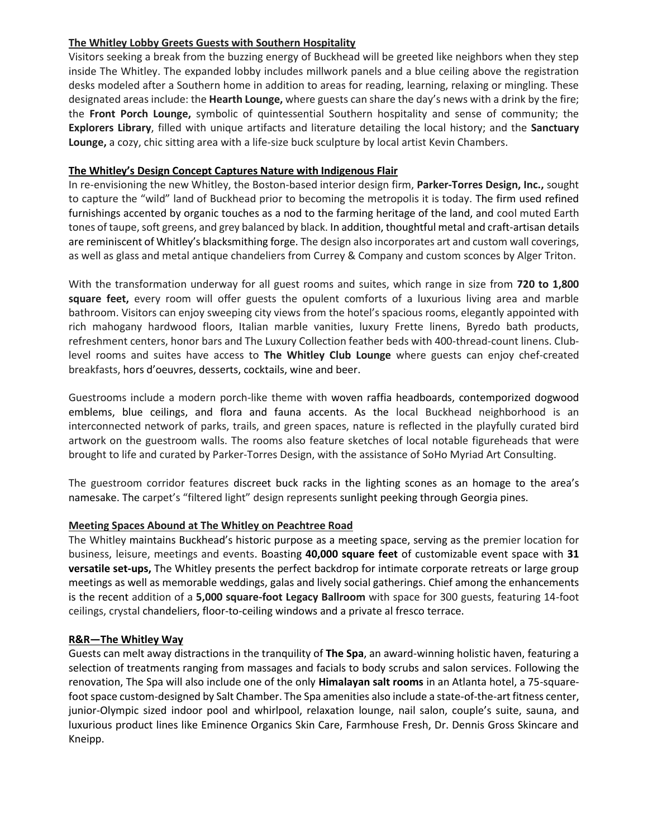## **The Whitley Lobby Greets Guests with Southern Hospitality**

Visitors seeking a break from the buzzing energy of Buckhead will be greeted like neighbors when they step inside The Whitley. The expanded lobby includes millwork panels and a blue ceiling above the registration desks modeled after a Southern home in addition to areas for reading, learning, relaxing or mingling. These designated areas include: the **Hearth Lounge,** where guests can share the day's news with a drink by the fire; the **Front Porch Lounge,** symbolic of quintessential Southern hospitality and sense of community; the **Explorers Library**, filled with unique artifacts and literature detailing the local history; and the **Sanctuary Lounge,** a cozy, chic sitting area with a life-size buck sculpture by local artist Kevin Chambers.

### **The Whitley's Design Concept Captures Nature with Indigenous Flair**

In re-envisioning the new Whitley, the Boston-based interior design firm, **Parker-Torres Design, Inc.,** sought to capture the "wild" land of Buckhead prior to becoming the metropolis it is today. The firm used refined furnishings accented by organic touches as a nod to the farming heritage of the land, and cool muted Earth tones of taupe, soft greens, and grey balanced by black. In addition, thoughtful metal and craft-artisan details are reminiscent of Whitley's blacksmithing forge. The design also incorporates art and custom wall coverings, as well as glass and metal antique chandeliers from Currey & Company and custom sconces by Alger Triton.

With the transformation underway for all guest rooms and suites, which range in size from **720 to 1,800 square feet,** every room will offer guests the opulent comforts of a luxurious living area and marble bathroom. Visitors can enjoy sweeping city views from the hotel's spacious rooms, elegantly appointed with rich mahogany hardwood floors, Italian marble vanities, luxury Frette linens, Byredo bath products, refreshment centers, honor bars and The Luxury Collection feather beds with 400-thread-count linens. Clublevel rooms and suites have access to **The Whitley Club Lounge** where guests can enjoy chef-created breakfasts, hors d'oeuvres, desserts, cocktails, wine and beer.

Guestrooms include a modern porch-like theme with woven raffia headboards, contemporized dogwood emblems, blue ceilings, and flora and fauna accents. As the local Buckhead neighborhood is an interconnected network of parks, trails, and green spaces, nature is reflected in the playfully curated bird artwork on the guestroom walls. The rooms also feature sketches of local notable figureheads that were brought to life and curated by Parker-Torres Design, with the assistance of SoHo Myriad Art Consulting.

The guestroom corridor features discreet buck racks in the lighting scones as an homage to the area's namesake. The carpet's "filtered light" design represents sunlight peeking through Georgia pines.

## **Meeting Spaces Abound at The Whitley on Peachtree Road**

The Whitley maintains Buckhead's historic purpose as a meeting space, serving as the premier location for business, leisure, meetings and events. Boasting **40,000 square feet** of customizable event space with **31 versatile set-ups,** The Whitley presents the perfect backdrop for intimate corporate retreats or large group meetings as well as memorable weddings, galas and lively social gatherings. Chief among the enhancements is the recent addition of a **5,000 square-foot Legacy Ballroom** with space for 300 guests, featuring 14-foot ceilings, crystal chandeliers, floor-to-ceiling windows and a private al fresco terrace.

#### **R&R—The Whitley Way**

Guests can melt away distractions in the tranquility of **The Spa**, an award-winning holistic haven, featuring a selection of treatments ranging from massages and facials to body scrubs and salon services. Following the renovation, The Spa will also include one of the only **Himalayan salt rooms** in an Atlanta hotel, a 75-squarefoot space custom-designed by Salt Chamber. The Spa amenities also include a state-of-the-art fitness center, junior-Olympic sized indoor pool and whirlpool, relaxation lounge, nail salon, couple's suite, sauna, and luxurious product lines like Eminence Organics Skin Care, Farmhouse Fresh, Dr. Dennis Gross Skincare and Kneipp.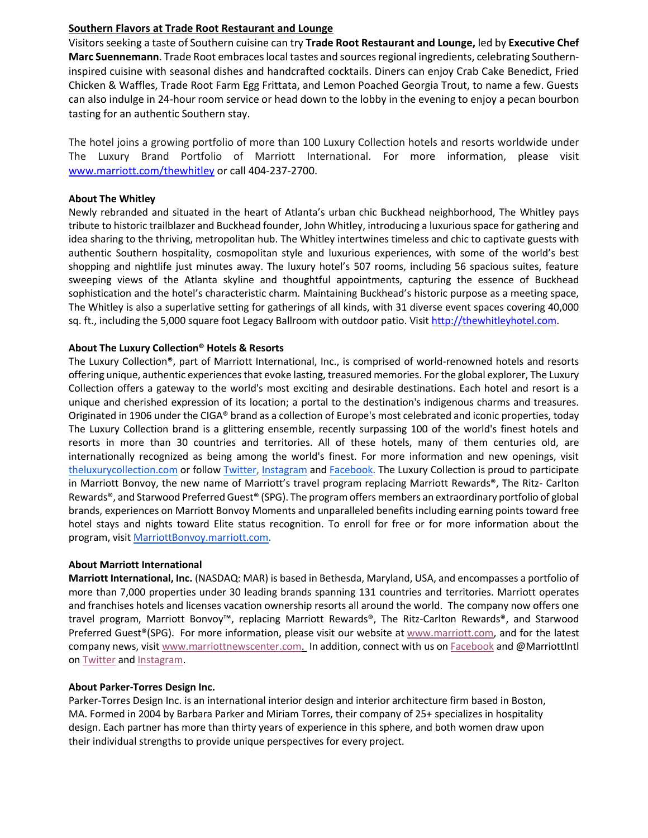#### **Southern Flavors at Trade Root Restaurant and Lounge**

Visitors seeking a taste of Southern cuisine can try **Trade Root Restaurant and Lounge,** led by **Executive Chef Marc Suennemann**. Trade Root embraces local tastes and sources regional ingredients, celebrating Southerninspired cuisine with seasonal dishes and handcrafted cocktails. Diners can enjoy Crab Cake Benedict, Fried Chicken & Waffles, Trade Root Farm Egg Frittata, and Lemon Poached Georgia Trout, to name a few. Guests can also indulge in 24-hour room service or head down to the lobby in the evening to enjoy a pecan bourbon tasting for an authentic Southern stay.

The hotel joins a growing portfolio of more than 100 Luxury Collection hotels and resorts worldwide under The Luxury Brand Portfolio of Marriott International. For more information, please visit [www.marriott.com/thewhitley](https://www.marriott.com/hotels/travel/atllu-the-whitley-a-luxury-collection-hotel-atlanta-buckhead/) or call 404-237-2700.

#### **About The Whitley**

Newly rebranded and situated in the heart of Atlanta's urban chic Buckhead neighborhood, The Whitley pays tribute to historic trailblazer and Buckhead founder, John Whitley, introducing a luxurious space for gathering and idea sharing to the thriving, metropolitan hub. The Whitley intertwines timeless and chic to captivate guests with authentic Southern hospitality, cosmopolitan style and luxurious experiences, with some of the world's best shopping and nightlife just minutes away. The luxury hotel's 507 rooms, including 56 spacious suites, feature sweeping views of the Atlanta skyline and thoughtful appointments, capturing the essence of Buckhead sophistication and the hotel's characteristic charm. Maintaining Buckhead's historic purpose as a meeting space, The Whitley is also a superlative setting for gatherings of all kinds, with 31 diverse event spaces covering 40,000 sq. ft., including the 5,000 square foot Legacy Ballroom with outdoor patio. Visit [http://thewhitleyhotel.com.](http://thewhitleyhotel.com/)

#### **About The Luxury Collection® Hotels & Resorts**

The Luxury Collection®, part of Marriott International, Inc., is comprised of world-renowned hotels and resorts offering unique, authentic experiences that evoke lasting, treasured memories. For the global explorer, The Luxury Collection offers a gateway to the world's most exciting and desirable destinations. Each hotel and resort is a unique and cherished expression of its location; a portal to the destination's indigenous charms and treasures. Originated in 1906 under the CIGA® brand as a collection of Europe's most celebrated and iconic properties, today The Luxury Collection brand is a glittering ensemble, recently surpassing 100 of the world's finest hotels and resorts in more than 30 countries and territories. All of these hotels, many of them centuries old, are internationally recognized as being among the world's finest. For more information and new openings, visit [theluxurycollection.com](http://www.starwoodhotels.com/luxury/index.html) or follow [Twitter,](https://twitter.com/luxcollection) [Instagram](https://www.instagram.com/theluxurycollection/) and [Facebook.](https://www.facebook.com/theluxurycollection) The Luxury Collection is proud to participate in Marriott Bonvoy, the new name of Marriott's travel program replacing Marriott Rewards®, The Ritz- Carlton Rewards®, and Starwood Preferred Guest® (SPG). The program offers members an extraordinary portfolio of global brands, experiences on Marriott Bonvoy Moments and unparalleled benefits including earning points toward free hotel stays and nights toward Elite status recognition. To enroll for free or for more information about the program, visit [MarriottBonvoy.marriott.com.](https://www.marriott.com/loyalty.mi)

#### **About Marriott International**

**Marriott International, Inc.** (NASDAQ: MAR) is based in Bethesda, Maryland, USA, and encompasses a portfolio of more than 7,000 properties under 30 leading brands spanning 131 countries and territories. Marriott operates and franchises hotels and licenses vacation ownership resorts all around the world. The company now offers one travel program, Marriott Bonvoy™, replacing Marriott Rewards®, The Ritz-Carlton Rewards®, and Starwood Preferred Guest®(SPG). For more information, please visit our website at [www.marriott.com,](http://www.marriott.com/) and for the latest company news, visit [www.marriottnewscenter.com.](http://www.marriottnewscenter.com/) In addition, connect with us on [Facebook](https://www.facebook.com/marriottinternational/) and @MarriottIntl on [Twitter](https://twitter.com/MarriottIntl) and [Instagram.](https://www.instagram.com/marriottintl/)

#### **About Parker-Torres Design Inc.**

Parker-Torres Design Inc. is an international interior design and interior architecture firm based in Boston, MA. Formed in 2004 by Barbara Parker and Miriam Torres, their company of 25+ specializes in hospitality design. Each partner has more than thirty years of experience in this sphere, and both women draw upon their individual strengths to provide unique perspectives for every project.